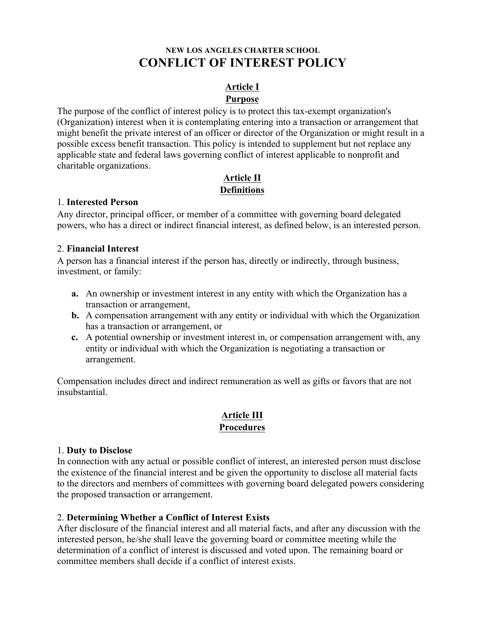# **NEW LOS ANGELES CHARTER SCHOOL CONFLICT OF INTEREST POLICY**

# **Article I Purpose**

The purpose of the conflict of interest policy is to protect this tax-exempt organization's (Organization) interest when it is contemplating entering into a transaction or arrangement that might benefit the private interest of an officer or director of the Organization or might result in a possible excess benefit transaction. This policy is intended to supplement but not replace any applicable state and federal laws governing conflict of interest applicable to nonprofit and charitable organizations.

## **Article II Definitions**

#### 1. **Interested Person**

Any director, principal officer, or member of a committee with governing board delegated powers, who has a direct or indirect financial interest, as defined below, is an interested person.

#### 2. **Financial Interest**

A person has a financial interest if the person has, directly or indirectly, through business, investment, or family:

- **a.** An ownership or investment interest in any entity with which the Organization has a transaction or arrangement,
- **b.** A compensation arrangement with any entity or individual with which the Organization has a transaction or arrangement, or
- **c.** A potential ownership or investment interest in, or compensation arrangement with, any entity or individual with which the Organization is negotiating a transaction or arrangement.

Compensation includes direct and indirect remuneration as well as gifts or favors that are not insubstantial.

### **Article III Procedures**

#### 1. **Duty to Disclose**

In connection with any actual or possible conflict of interest, an interested person must disclose the existence of the financial interest and be given the opportunity to disclose all material facts to the directors and members of committees with governing board delegated powers considering the proposed transaction or arrangement.

# 2. **Determining Whether a Conflict of Interest Exists**

After disclosure of the financial interest and all material facts, and after any discussion with the interested person, he/she shall leave the governing board or committee meeting while the determination of a conflict of interest is discussed and voted upon. The remaining board or committee members shall decide if a conflict of interest exists.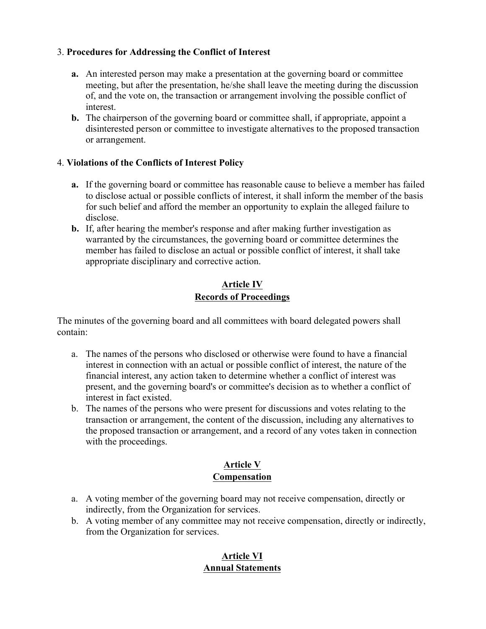#### 3. **Procedures for Addressing the Conflict of Interest**

- **a.** An interested person may make a presentation at the governing board or committee meeting, but after the presentation, he/she shall leave the meeting during the discussion of, and the vote on, the transaction or arrangement involving the possible conflict of interest.
- **b.** The chairperson of the governing board or committee shall, if appropriate, appoint a disinterested person or committee to investigate alternatives to the proposed transaction or arrangement.

#### 4. **Violations of the Conflicts of Interest Policy**

- **a.** If the governing board or committee has reasonable cause to believe a member has failed to disclose actual or possible conflicts of interest, it shall inform the member of the basis for such belief and afford the member an opportunity to explain the alleged failure to disclose.
- **b.** If, after hearing the member's response and after making further investigation as warranted by the circumstances, the governing board or committee determines the member has failed to disclose an actual or possible conflict of interest, it shall take appropriate disciplinary and corrective action.

### **Article IV Records of Proceedings**

The minutes of the governing board and all committees with board delegated powers shall contain:

- a. The names of the persons who disclosed or otherwise were found to have a financial interest in connection with an actual or possible conflict of interest, the nature of the financial interest, any action taken to determine whether a conflict of interest was present, and the governing board's or committee's decision as to whether a conflict of interest in fact existed.
- b. The names of the persons who were present for discussions and votes relating to the transaction or arrangement, the content of the discussion, including any alternatives to the proposed transaction or arrangement, and a record of any votes taken in connection with the proceedings.

# **Article V Compensation**

- a. A voting member of the governing board may not receive compensation, directly or indirectly, from the Organization for services.
- b. A voting member of any committee may not receive compensation, directly or indirectly, from the Organization for services.

### **Article VI Annual Statements**